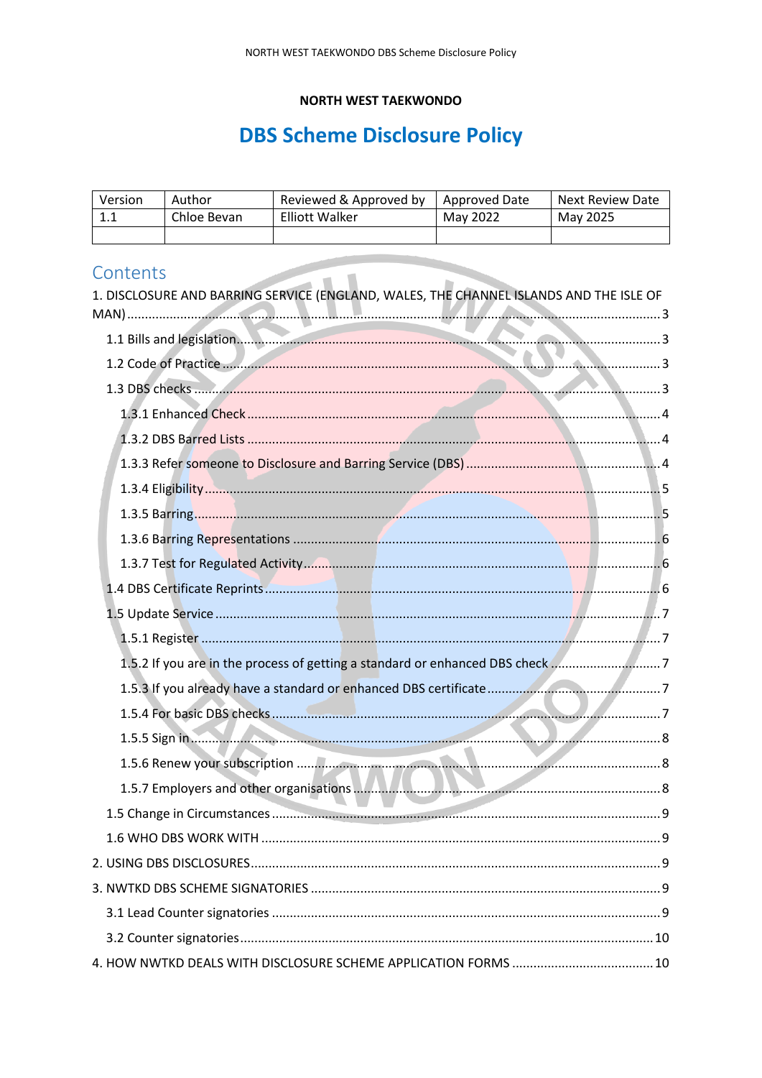# **NORTH WEST TAEKWONDO**

# **DBS Scheme Disclosure Policy**

| Version | Author      | Reviewed & Approved by | Approved Date | Next Review Date |
|---------|-------------|------------------------|---------------|------------------|
| ᆠᆞᆠ     | Chloe Bevan | <b>Elliott Walker</b>  | May 2022      | May 2025         |
|         |             |                        |               |                  |

# Contents

| Contents<br>1. DISCLOSURE AND BARRING SERVICE (ENGLAND, WALES, THE CHANNEL ISLANDS AND THE ISLE OF |  |
|----------------------------------------------------------------------------------------------------|--|
|                                                                                                    |  |
| 1.2 Code of Practice                                                                               |  |
|                                                                                                    |  |
|                                                                                                    |  |
|                                                                                                    |  |
|                                                                                                    |  |
|                                                                                                    |  |
|                                                                                                    |  |
|                                                                                                    |  |
|                                                                                                    |  |
|                                                                                                    |  |
|                                                                                                    |  |
|                                                                                                    |  |
| 1.5.2 If you are in the process of getting a standard or enhanced DBS check7                       |  |
|                                                                                                    |  |
|                                                                                                    |  |
|                                                                                                    |  |
|                                                                                                    |  |
|                                                                                                    |  |
|                                                                                                    |  |
|                                                                                                    |  |
|                                                                                                    |  |
|                                                                                                    |  |
|                                                                                                    |  |
|                                                                                                    |  |
|                                                                                                    |  |
|                                                                                                    |  |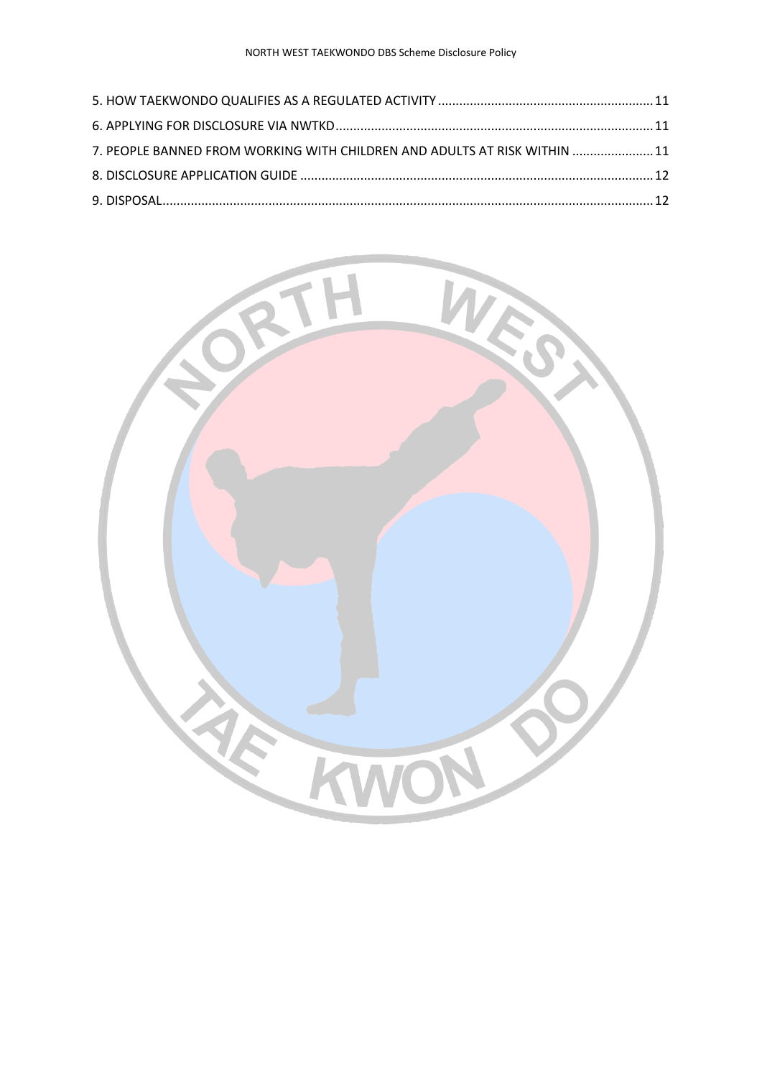| 7. PEOPLE BANNED FROM WORKING WITH CHILDREN AND ADULTS AT RISK WITHIN  11 |  |
|---------------------------------------------------------------------------|--|
|                                                                           |  |
|                                                                           |  |

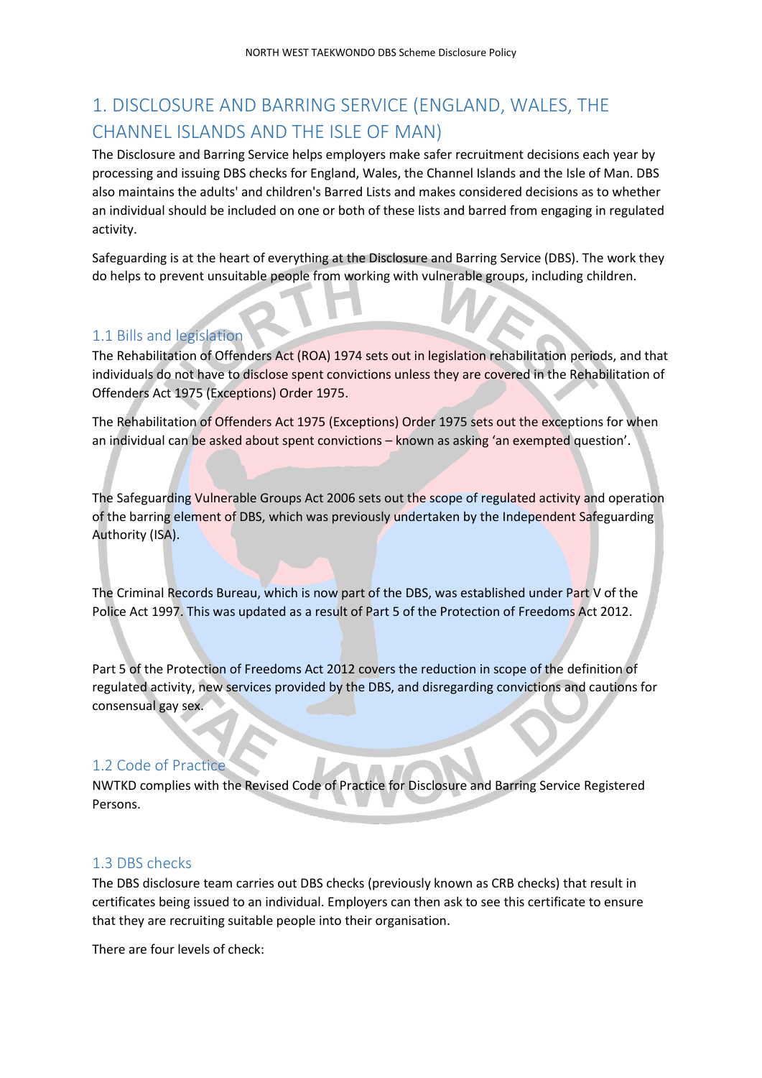# <span id="page-2-0"></span>1. DISCLOSURE AND BARRING SERVICE (ENGLAND, WALES, THE CHANNEL ISLANDS AND THE ISLE OF MAN)

The Disclosure and Barring Service helps employers make safer recruitment decisions each year by processing and issuing DBS checks for England, Wales, the Channel Islands and the Isle of Man. DBS also maintains the adults' and children's Barred Lists and makes considered decisions as to whether an individual should be included on one or both of these lists and barred from engaging in regulated activity.

Safeguarding is at the heart of everything at the Disclosure and Barring Service (DBS). The work they do helps to prevent unsuitable people from working with vulnerable groups, including children.

# <span id="page-2-1"></span>1.1 Bills and legislation

The Rehabilitation of Offenders Act (ROA) 1974 sets out in legislation rehabilitation periods, and that individuals do not have to disclose spent convictions unless they are covered in the Rehabilitation of Offenders Act 1975 (Exceptions) Order 1975.

The Rehabilitation of Offenders Act 1975 (Exceptions) Order 1975 sets out the exceptions for when an individual can be asked about spent convictions – known as asking 'an exempted question'.

The Safeguarding Vulnerable Groups Act 2006 sets out the scope of regulated activity and operation of the barring element of DBS, which was previously undertaken by the Independent Safeguarding Authority (ISA).

The Criminal Records Bureau, which is now part of the DBS, was established under Part V of the Police Act 1997. This was updated as a result of Part 5 of the Protection of Freedoms Act 2012.

Part 5 of the Protection of Freedoms Act 2012 covers the reduction in scope of the definition of regulated activity, new services provided by the DBS, and disregarding convictions and cautions for consensual gay sex.

# <span id="page-2-2"></span>1.2 Code of Practice

NWTKD complies with the Revised Code of Practice for Disclosure and Barring Service Registered Persons.

# <span id="page-2-3"></span>1.3 DBS checks

The DBS disclosure team carries out DBS checks (previously known as CRB checks) that result in certificates being issued to an individual. Employers can then ask to see this certificate to ensure that they are recruiting suitable people into their organisation.

There are four levels of check: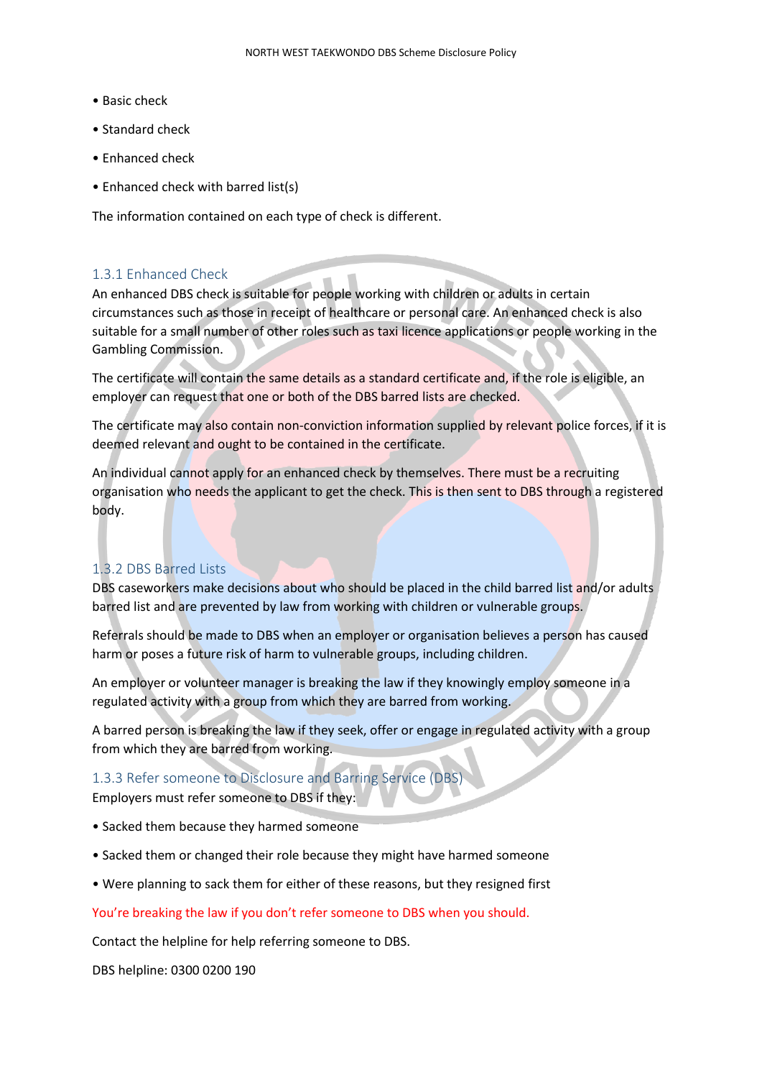- Basic check
- Standard check
- Enhanced check
- Enhanced check with barred list(s)

The information contained on each type of check is different.

# <span id="page-3-0"></span>1.3.1 Enhanced Check

An enhanced DBS check is suitable for people working with children or adults in certain circumstances such as those in receipt of healthcare or personal care. An enhanced check is also suitable for a small number of other roles such as taxi licence applications or people working in the Gambling Commission.

The certificate will contain the same details as a standard certificate and, if the role is eligible, an employer can request that one or both of the DBS barred lists are checked.

The certificate may also contain non-conviction information supplied by relevant police forces, if it is deemed relevant and ought to be contained in the certificate.

An individual cannot apply for an enhanced check by themselves. There must be a recruiting organisation who needs the applicant to get the check. This is then sent to DBS through a registered body.

# <span id="page-3-1"></span>1.3.2 DBS Barred Lists

DBS caseworkers make decisions about who should be placed in the child barred list and/or adults barred list and are prevented by law from working with children or vulnerable groups.

Referrals should be made to DBS when an employer or organisation believes a person has caused harm or poses a future risk of harm to vulnerable groups, including children.

An employer or volunteer manager is breaking the law if they knowingly employ someone in a regulated activity with a group from which they are barred from working.

A barred person is breaking the law if they seek, offer or engage in regulated activity with a group from which they are barred from working.

# <span id="page-3-2"></span>1.3.3 Refer someone to Disclosure and Barring Service (DBS)

Employers must refer someone to DBS if they:

- Sacked them because they harmed someone
- Sacked them or changed their role because they might have harmed someone
- Were planning to sack them for either of these reasons, but they resigned first

#### You're breaking the law if you don't refer someone to DBS when you should.

Contact the helpline for help referring someone to DBS.

DBS helpline: 0300 0200 190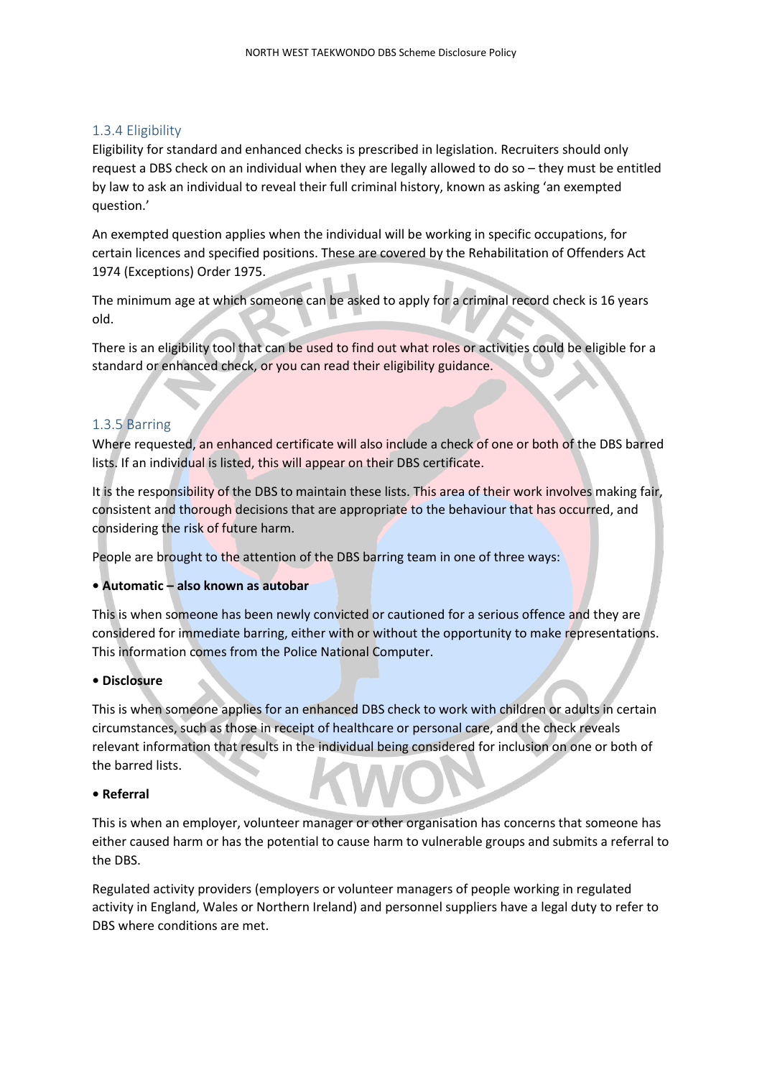### <span id="page-4-0"></span>1.3.4 Eligibility

Eligibility for standard and enhanced checks is prescribed in legislation. Recruiters should only request a DBS check on an individual when they are legally allowed to do so – they must be entitled by law to ask an individual to reveal their full criminal history, known as asking 'an exempted question.'

An exempted question applies when the individual will be working in specific occupations, for certain licences and specified positions. These are covered by the Rehabilitation of Offenders Act 1974 (Exceptions) Order 1975.

The minimum age at which someone can be asked to apply for a criminal record check is 16 years old.

There is an eligibility tool that can be used to find out what roles or activities could be eligible for a standard or enhanced check, or you can read their eligibility guidance.

# <span id="page-4-1"></span>1.3.5 Barring

Where requested, an enhanced certificate will also include a check of one or both of the DBS barred lists. If an individual is listed, this will appear on their DBS certificate.

It is the responsibility of the DBS to maintain these lists. This area of their work involves making fair, consistent and thorough decisions that are appropriate to the behaviour that has occurred, and considering the risk of future harm.

People are brought to the attention of the DBS barring team in one of three ways:

#### **• Automatic – also known as autobar**

This is when someone has been newly convicted or cautioned for a serious offence and they are considered for immediate barring, either with or without the opportunity to make representations. This information comes from the Police National Computer.

#### **• Disclosure**

This is when someone applies for an enhanced DBS check to work with children or adults in certain circumstances, such as those in receipt of healthcare or personal care, and the check reveals relevant information that results in the individual being considered for inclusion on one or both of the barred lists.

#### **• Referral**

This is when an employer, volunteer manager or other organisation has concerns that someone has either caused harm or has the potential to cause harm to vulnerable groups and submits a referral to the DBS.

Regulated activity providers (employers or volunteer managers of people working in regulated activity in England, Wales or Northern Ireland) and personnel suppliers have a legal duty to refer to DBS where conditions are met.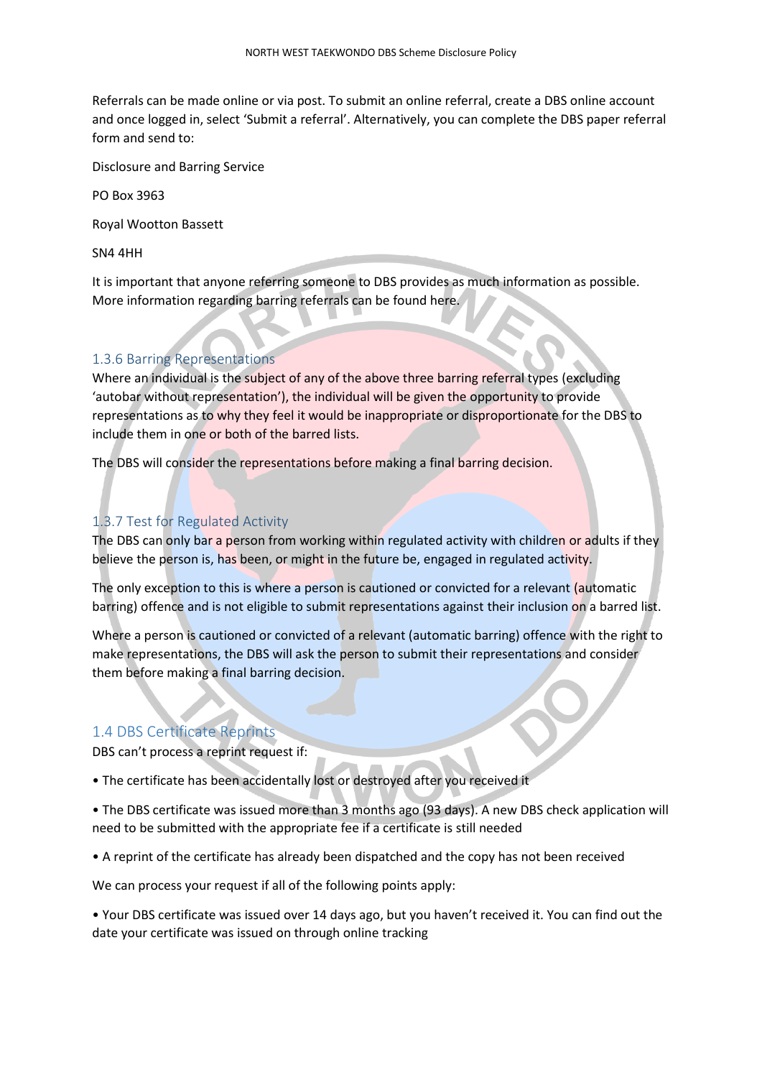Referrals can be made online or via post. To submit an online referral, create a DBS online account and once logged in, select 'Submit a referral'. Alternatively, you can complete the DBS paper referral form and send to:

Disclosure and Barring Service

PO Box 3963

Royal Wootton Bassett

SN4 4HH

It is important that anyone referring someone to DBS provides as much information as possible. More information regarding barring referrals can be found here.

### <span id="page-5-0"></span>1.3.6 Barring Representations

Where an individual is the subject of any of the above three barring referral types (excluding 'autobar without representation'), the individual will be given the opportunity to provide representations as to why they feel it would be inappropriate or disproportionate for the DBS to include them in one or both of the barred lists.

The DBS will consider the representations before making a final barring decision.

#### <span id="page-5-1"></span>1.3.7 Test for Regulated Activity

The DBS can only bar a person from working within regulated activity with children or adults if they believe the person is, has been, or might in the future be, engaged in regulated activity.

The only exception to this is where a person is cautioned or convicted for a relevant (automatic barring) offence and is not eligible to submit representations against their inclusion on a barred list.

Where a person is cautioned or convicted of a relevant (automatic barring) offence with the right to make representations, the DBS will ask the person to submit their representations and consider them before making a final barring decision.

#### <span id="page-5-2"></span>1.4 DBS Certificate Reprints

DBS can't process a reprint request if:

• The certificate has been accidentally lost or destroyed after you received it

• The DBS certificate was issued more than 3 months ago (93 days). A new DBS check application will need to be submitted with the appropriate fee if a certificate is still needed

• A reprint of the certificate has already been dispatched and the copy has not been received

We can process your request if all of the following points apply:

• Your DBS certificate was issued over 14 days ago, but you haven't received it. You can find out the date your certificate was issued on through online tracking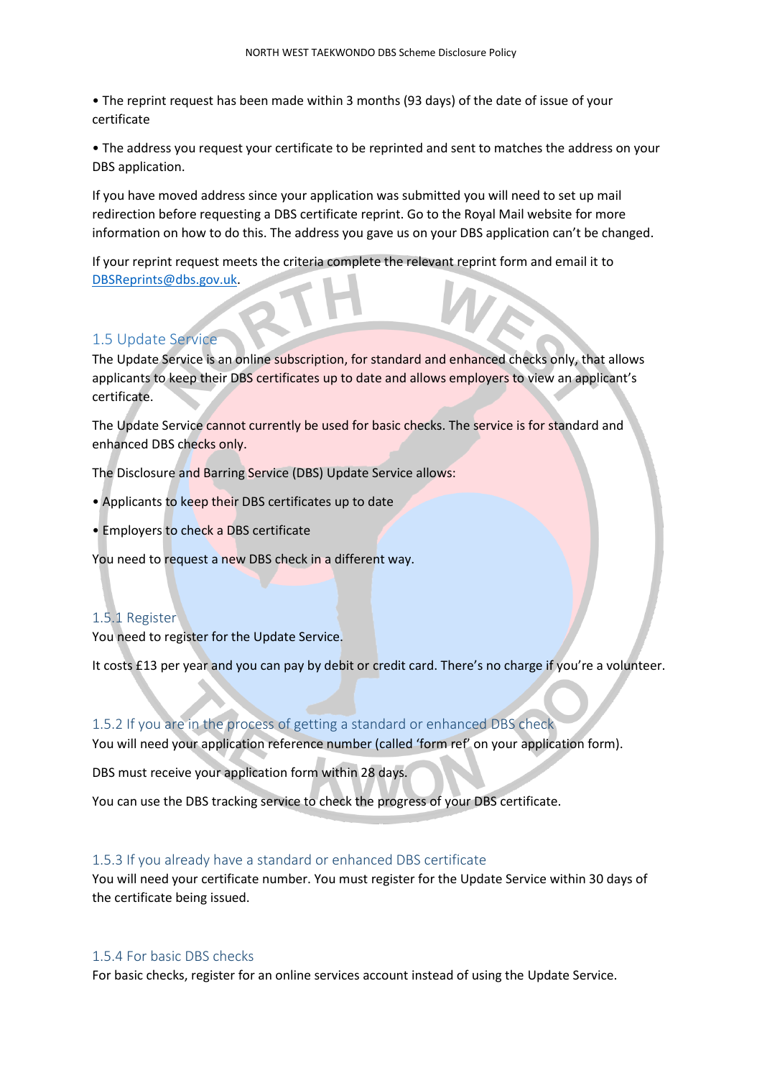• The reprint request has been made within 3 months (93 days) of the date of issue of your certificate

• The address you request your certificate to be reprinted and sent to matches the address on your DBS application.

If you have moved address since your application was submitted you will need to set up mail redirection before requesting a DBS certificate reprint. Go to the Royal Mail website for more information on how to do this. The address you gave us on your DBS application can't be changed.

If your reprint request meets the criteria complete the relevant reprint form and email it to [DBSReprints@dbs.gov.uk.](mailto:DBSReprints@dbs.gov.uk)

#### <span id="page-6-0"></span>1.5 Update Service

The Update Service is an online subscription, for standard and enhanced checks only, that allows applicants to keep their DBS certificates up to date and allows employers to view an applicant's certificate.

The Update Service cannot currently be used for basic checks. The service is for standard and enhanced DBS checks only.

The Disclosure and Barring Service (DBS) Update Service allows:

- Applicants to keep their DBS certificates up to date
- Employers to check a DBS certificate

You need to request a new DBS check in a different way.

#### <span id="page-6-1"></span>1.5.1 Register

You need to register for the Update Service.

It costs £13 per year and you can pay by debit or credit card. There's no charge if you're a volunteer.

#### <span id="page-6-2"></span>1.5.2 If you are in the process of getting a standard or enhanced DBS check

You will need your application reference number (called 'form ref' on your application form).

DBS must receive your application form within 28 days.

You can use the DBS tracking service to check the progress of your DBS certificate.

#### <span id="page-6-3"></span>1.5.3 If you already have a standard or enhanced DBS certificate

You will need your certificate number. You must register for the Update Service within 30 days of the certificate being issued.

#### <span id="page-6-4"></span>1.5.4 For basic DBS checks

For basic checks, register for an online services account instead of using the Update Service.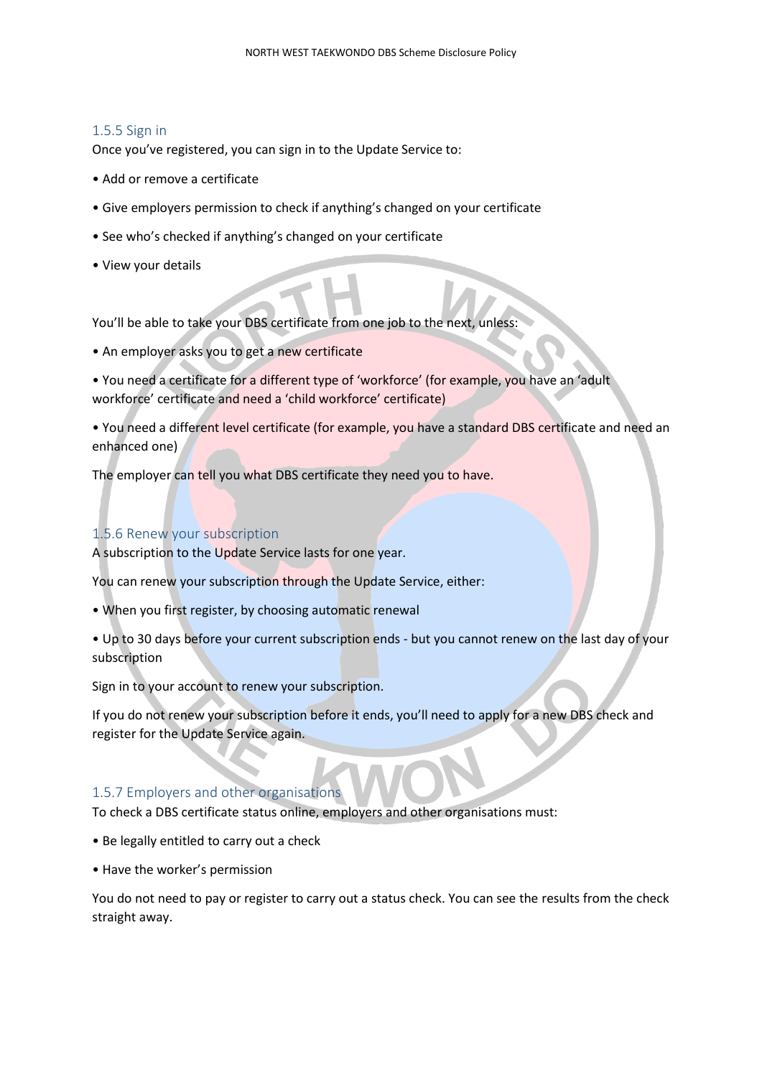#### <span id="page-7-0"></span>1.5.5 Sign in

Once you've registered, you can sign in to the Update Service to:

- Add or remove a certificate
- Give employers permission to check if anything's changed on your certificate
- See who's checked if anything's changed on your certificate
- View your details

You'll be able to take your DBS certificate from one job to the next, unless:

- An employer asks you to get a new certificate
- You need a certificate for a different type of 'workforce' (for example, you have an 'adult workforce' certificate and need a 'child workforce' certificate)

• You need a different level certificate (for example, you have a standard DBS certificate and need an enhanced one)

The employer can tell you what DBS certificate they need you to have.

#### <span id="page-7-1"></span>1.5.6 Renew your subscription

A subscription to the Update Service lasts for one year.

You can renew your subscription through the Update Service, either:

- When you first register, by choosing automatic renewal
- Up to 30 days before your current subscription ends but you cannot renew on the last day of your subscription

Sign in to your account to renew your subscription.

If you do not renew your subscription before it ends, you'll need to apply for a new DBS check and register for the Update Service again.

# <span id="page-7-2"></span>1.5.7 Employers and other organisations

To check a DBS certificate status online, employers and other organisations must:

- Be legally entitled to carry out a check
- Have the worker's permission

You do not need to pay or register to carry out a status check. You can see the results from the check straight away.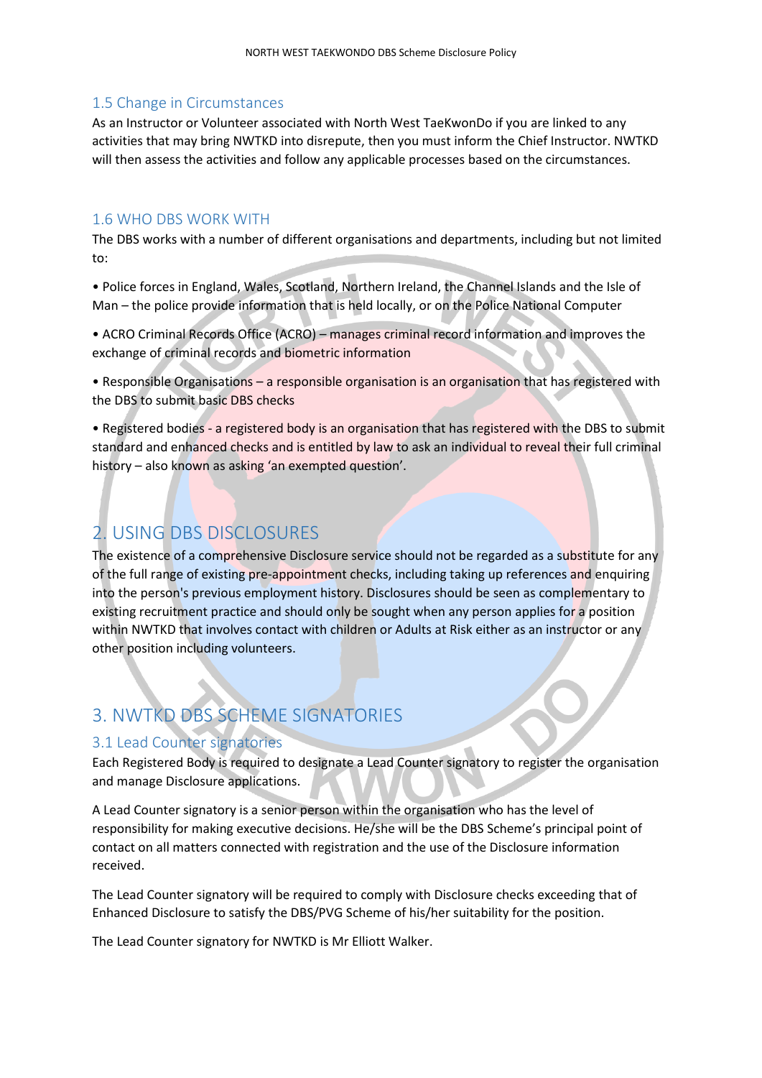# <span id="page-8-0"></span>1.5 Change in Circumstances

As an Instructor or Volunteer associated with North West TaeKwonDo if you are linked to any activities that may bring NWTKD into disrepute, then you must inform the Chief Instructor. NWTKD will then assess the activities and follow any applicable processes based on the circumstances.

#### <span id="page-8-1"></span>1.6 WHO DBS WORK WITH

The DBS works with a number of different organisations and departments, including but not limited to:

• Police forces in England, Wales, Scotland, Northern Ireland, the Channel Islands and the Isle of Man – the police provide information that is held locally, or on the Police National Computer

• ACRO Criminal Records Office (ACRO) – manages criminal record information and improves the exchange of criminal records and biometric information

• Responsible Organisations – a responsible organisation is an organisation that has registered with the DBS to submit basic DBS checks

• Registered bodies - a registered body is an organisation that has registered with the DBS to submit standard and enhanced checks and is entitled by law to ask an individual to reveal their full criminal history – also known as asking 'an exempted question'.

# <span id="page-8-2"></span>2. USING DBS DISCLOSURES

The existence of a comprehensive Disclosure service should not be regarded as a substitute for any of the full range of existing pre-appointment checks, including taking up references and enquiring into the person's previous employment history. Disclosures should be seen as complementary to existing recruitment practice and should only be sought when any person applies for a position within NWTKD that involves contact with children or Adults at Risk either as an instructor or any other position including volunteers.

# <span id="page-8-3"></span>3. NWTKD DBS SCHEME SIGNATORIES

# <span id="page-8-4"></span>3.1 Lead Counter signatories

Each Registered Body is required to designate a Lead Counter signatory to register the organisation and manage Disclosure applications.

A Lead Counter signatory is a senior person within the organisation who has the level of responsibility for making executive decisions. He/she will be the DBS Scheme's principal point of contact on all matters connected with registration and the use of the Disclosure information received.

The Lead Counter signatory will be required to comply with Disclosure checks exceeding that of Enhanced Disclosure to satisfy the DBS/PVG Scheme of his/her suitability for the position.

The Lead Counter signatory for NWTKD is Mr Elliott Walker.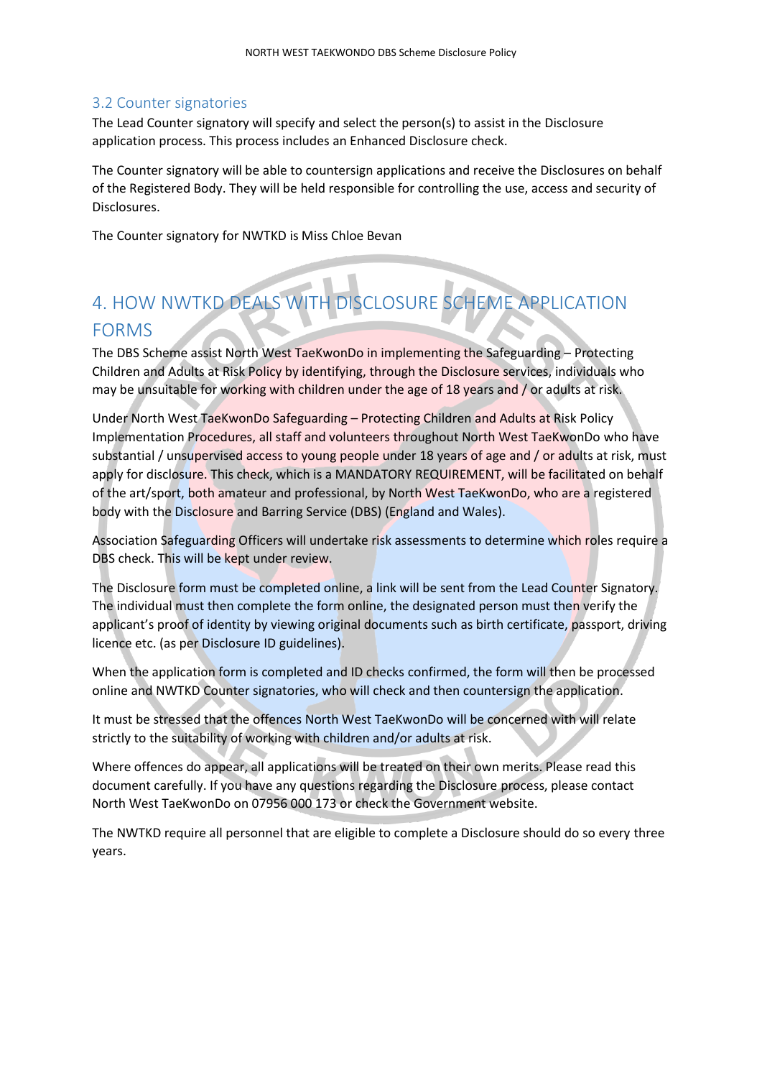### <span id="page-9-0"></span>3.2 Counter signatories

The Lead Counter signatory will specify and select the person(s) to assist in the Disclosure application process. This process includes an Enhanced Disclosure check.

The Counter signatory will be able to countersign applications and receive the Disclosures on behalf of the Registered Body. They will be held responsible for controlling the use, access and security of Disclosures.

The Counter signatory for NWTKD is Miss Chloe Bevan

# <span id="page-9-1"></span>4. HOW NWTKD DEALS WITH DISCLOSURE SCHEME APPLICATION FORMS

The DBS Scheme assist North West TaeKwonDo in implementing the Safeguarding – Protecting Children and Adults at Risk Policy by identifying, through the Disclosure services, individuals who may be unsuitable for working with children under the age of 18 years and / or adults at risk.

Under North West TaeKwonDo Safeguarding – Protecting Children and Adults at Risk Policy Implementation Procedures, all staff and volunteers throughout North West TaeKwonDo who have substantial / unsupervised access to young people under 18 years of age and / or adults at risk, must apply for disclosure. This check, which is a MANDATORY REQUIREMENT, will be facilitated on behalf of the art/sport, both amateur and professional, by North West TaeKwonDo, who are a registered body with the Disclosure and Barring Service (DBS) (England and Wales).

Association Safeguarding Officers will undertake risk assessments to determine which roles require a DBS check. This will be kept under review.

The Disclosure form must be completed online, a link will be sent from the Lead Counter Signatory. The individual must then complete the form online, the designated person must then verify the applicant's proof of identity by viewing original documents such as birth certificate, passport, driving licence etc. (as per Disclosure ID guidelines).

When the application form is completed and ID checks confirmed, the form will then be processed online and NWTKD Counter signatories, who will check and then countersign the application.

It must be stressed that the offences North West TaeKwonDo will be concerned with will relate strictly to the suitability of working with children and/or adults at risk.

Where offences do appear, all applications will be treated on their own merits. Please read this document carefully. If you have any questions regarding the Disclosure process, please contact North West TaeKwonDo on 07956 000 173 or check the Government website.

The NWTKD require all personnel that are eligible to complete a Disclosure should do so every three years.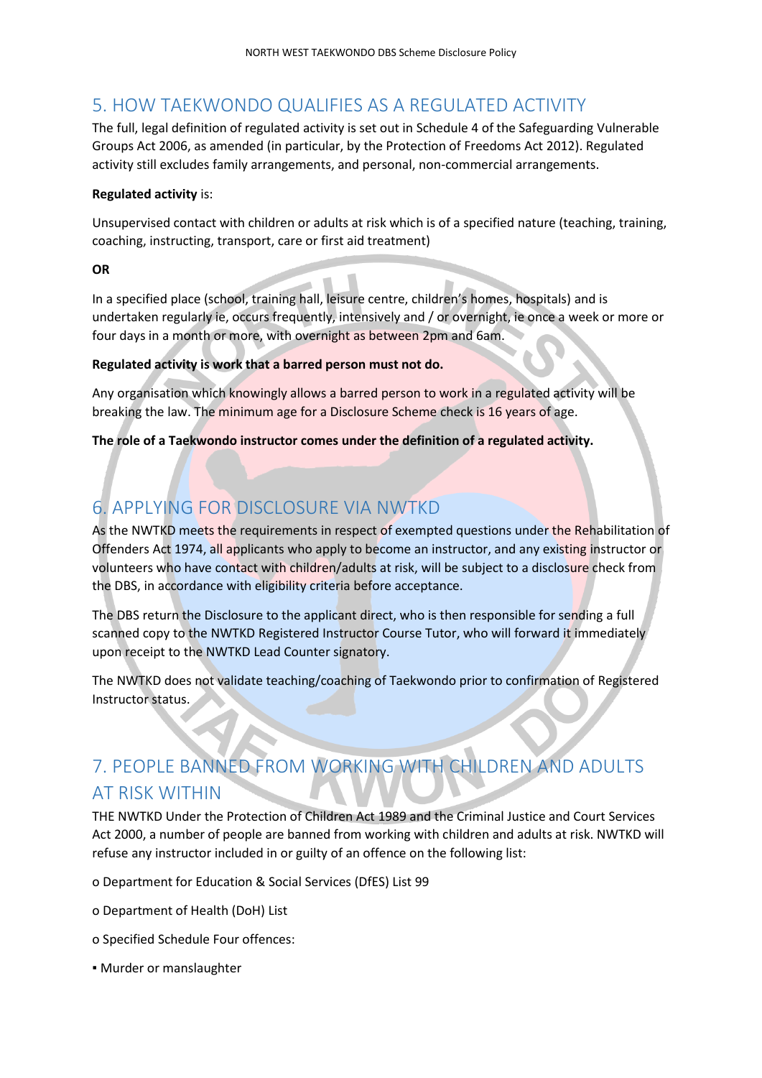# <span id="page-10-0"></span>5. HOW TAEKWONDO QUALIFIES AS A REGULATED ACTIVITY

The full, legal definition of regulated activity is set out in Schedule 4 of the Safeguarding Vulnerable Groups Act 2006, as amended (in particular, by the Protection of Freedoms Act 2012). Regulated activity still excludes family arrangements, and personal, non-commercial arrangements.

# **Regulated activity** is:

Unsupervised contact with children or adults at risk which is of a specified nature (teaching, training, coaching, instructing, transport, care or first aid treatment)

# **OR**

In a specified place (school, training hall, leisure centre, children's homes, hospitals) and is undertaken regularly ie, occurs frequently, intensively and / or overnight, ie once a week or more or four days in a month or more, with overnight as between 2pm and 6am.

# **Regulated activity is work that a barred person must not do.**

Any organisation which knowingly allows a barred person to work in a regulated activity will be breaking the law. The minimum age for a Disclosure Scheme check is 16 years of age.

**The role of a Taekwondo instructor comes under the definition of a regulated activity.**

# <span id="page-10-1"></span>6. APPLYING FOR DISCLOSURE VIA NWTKD

As the NWTKD meets the requirements in respect of exempted questions under the Rehabilitation of Offenders Act 1974, all applicants who apply to become an instructor, and any existing instructor or volunteers who have contact with children/adults at risk, will be subject to a disclosure check from the DBS, in accordance with eligibility criteria before acceptance.

The DBS return the Disclosure to the applicant direct, who is then responsible for sending a full scanned copy to the NWTKD Registered Instructor Course Tutor, who will forward it immediately upon receipt to the NWTKD Lead Counter signatory.

The NWTKD does not validate teaching/coaching of Taekwondo prior to confirmation of Registered Instructor status.

# <span id="page-10-2"></span>7. PEOPLE BANNED FROM WORKING WITH CHILDREN AND ADULTS AT RISK WITHIN

THE NWTKD Under the Protection of Children Act 1989 and the Criminal Justice and Court Services Act 2000, a number of people are banned from working with children and adults at risk. NWTKD will refuse any instructor included in or guilty of an offence on the following list:

o Department for Education & Social Services (DfES) List 99

- o Department of Health (DoH) List
- o Specified Schedule Four offences:
- Murder or manslaughter